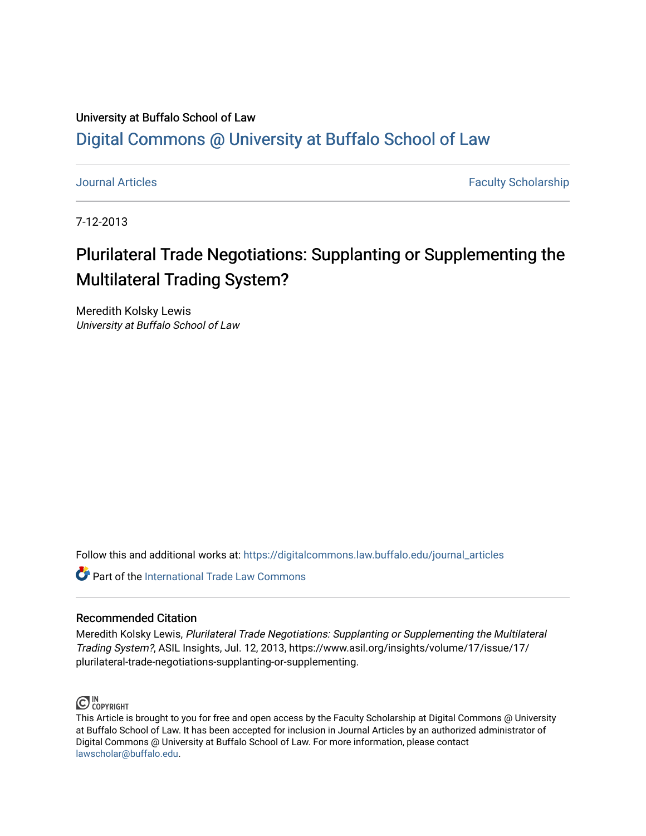## University at Buffalo School of Law [Digital Commons @ University at Buffalo School of Law](https://digitalcommons.law.buffalo.edu/)

[Journal Articles](https://digitalcommons.law.buffalo.edu/journal_articles) **Faculty Scholarship Faculty Scholarship Faculty Scholarship** 

7-12-2013

## Plurilateral Trade Negotiations: Supplanting or Supplementing the Multilateral Trading System?

Meredith Kolsky Lewis University at Buffalo School of Law

Follow this and additional works at: [https://digitalcommons.law.buffalo.edu/journal\\_articles](https://digitalcommons.law.buffalo.edu/journal_articles?utm_source=digitalcommons.law.buffalo.edu%2Fjournal_articles%2F648&utm_medium=PDF&utm_campaign=PDFCoverPages) 

**C** Part of the [International Trade Law Commons](http://network.bepress.com/hgg/discipline/848?utm_source=digitalcommons.law.buffalo.edu%2Fjournal_articles%2F648&utm_medium=PDF&utm_campaign=PDFCoverPages)

### Recommended Citation

Meredith Kolsky Lewis, Plurilateral Trade Negotiations: Supplanting or Supplementing the Multilateral Trading System?, ASIL Insights, Jul. 12, 2013, https://www.asil.org/insights/volume/17/issue/17/ plurilateral-trade-negotiations-supplanting-or-supplementing.



This Article is brought to you for free and open access by the Faculty Scholarship at Digital Commons @ University at Buffalo School of Law. It has been accepted for inclusion in Journal Articles by an authorized administrator of Digital Commons @ University at Buffalo School of Law. For more information, please contact [lawscholar@buffalo.edu](mailto:lawscholar@buffalo.edu).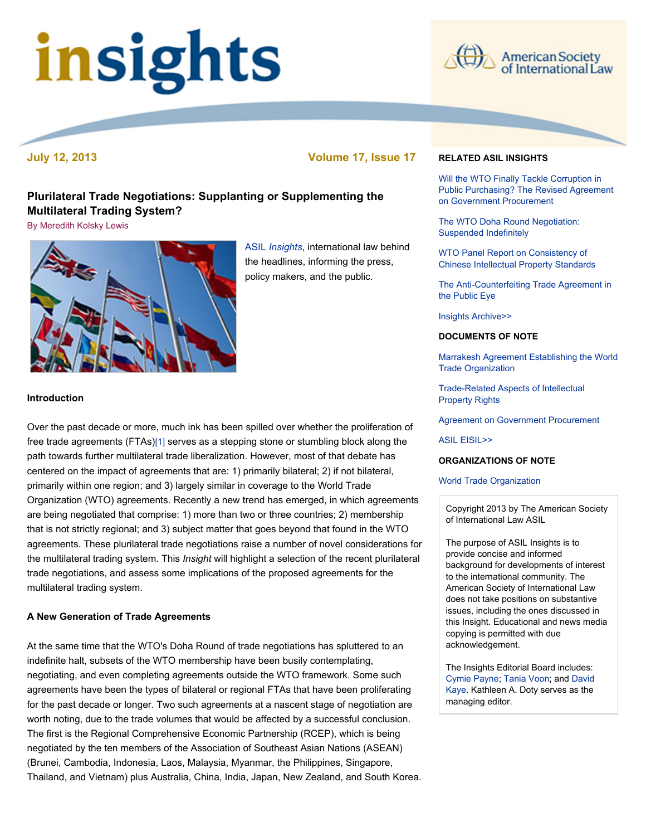# insights



 **July 12, 2013 Volume 17, Issue 17** 

## **Plurilateral Trade Negotiations: Supplanting or Supplementing the Multilateral Trading System?**

[By Meredith Kolsky Lewis](file:///Users/jamessteiner/ASIL/ASIL%202011/www/_Design%20Templates/insights/insight130712.html#author) 



 ASIL *[Insights](http://www.asil.org/insights.cfm)*, international law behind the headlines, informing the press, policy makers, and the public.

#### **Introduction**

 Over the past decade or more, much ink has been spilled over whether the proliferation of free trade agreements (FTAs[\)\[1\]](file:///Users/jamessteiner/ASIL/ASIL%202011/www/_Design%20Templates/insights/insight130712.html#_edn1) serves as a stepping stone or stumbling block along the path towards further multilateral trade liberalization. However, most of that debate has centered on the impact of agreements that are: 1) primarily bilateral; 2) if not bilateral, primarily within one region; and 3) largely similar in coverage to the World Trade Organization (WTO) agreements. Recently a new trend has emerged, in which agreements are being negotiated that comprise: 1) more than two or three countries; 2) membership that is not strictly regional; and 3) subject matter that goes beyond that found in the WTO agreements. These plurilateral trade negotiations raise a number of novel considerations for the multilateral trading system. This *Insight* will highlight a selection of the recent plurilateral trade negotiations, and assess some implications of the proposed agreements for the multilateral trading system.

#### **A New Generation of Trade Agreements**

 At the same time that the WTO's Doha Round of trade negotiations has spluttered to an indefinite halt, subsets of the WTO membership have been busily contemplating, negotiating, and even completing agreements outside the WTO framework. Some such agreements have been the types of bilateral or regional FTAs that have been proliferating for the past decade or longer. Two such agreements at a nascent stage of negotiation are worth noting, due to the trade volumes that would be affected by a successful conclusion. The first is the Regional Comprehensive Economic Partnership (RCEP), which is being negotiated by the ten members of the Association of Southeast Asian Nations (ASEAN) (Brunei, Cambodia, Indonesia, Laos, Malaysia, Myanmar, the Philippines, Singapore, Thailand, and Vietnam) plus Australia, China, India, Japan, New Zealand, and South Korea.

#### **RELATED ASIL INSIGHTS**

 Will the WTO Finally Tackle Corruption in [Public Purchasing? The Revised Agreement](http://www.asil.org/insights130415.cfm)  on Government Procurement

[The WTO Doha Round Negotiation:](http://www.asil.org/insights060905.cfm)  Suspended Indefinitely

 WTO Panel Report on Consistency of [Chinese Intellectual Property Standards](http://www.asil.org/insights090403.cfm) 

 [The Anti-Counterfeiting Trade Agreement in](http://www.asil.org/insights100624.cfm)  the Public Eye

[Insights Archive>>](http://www.asil.org/insights.cfm) 

#### **DOCUMENTS OF NOTE**

 [Marrakesh Agreement Establishing the World](https://www.wto.org/english/docs_e/legal_e/04-wto.pdf)  Trade Organization

 [Trade-Related Aspects of Intellectual](https://www.wto.org/english/docs_e/legal_e/27-trips.pdf)  Property Rights

[Agreement on Government Procurement](https://www.wto.org/english/docs_e/legal_e/gpr-94_e.pdf) 

[ASIL EISIL>>](http://www.eisil.org/)

#### **ORGANIZATIONS OF NOTE**

#### [World Trade Organization](http://www.wto.org/)

 Copyright 2013 by The American Society of International Law ASIL

 The purpose of ASIL Insights is to provide concise and informed to the international community. The American Society of International Law does not take positions on substantive issues, including the ones discussed in this Insight. Educational and news media copying is permitted with due background for developments of interest acknowledgement.

 The Insights Editorial Board includes: Kaye. Kathleen A. Doty serves as the [Cymie Payne](http://www.cymiepayne.org/)[;](mailto:dkaye@law.uci.edu) [Tania Voon](http://www.law.unimelb.edu.au/melbourne-law-school/community/our-staff/staff-profile/username/tania%20voon)[; and David](mailto:dkaye@law.uci.edu)  managing editor.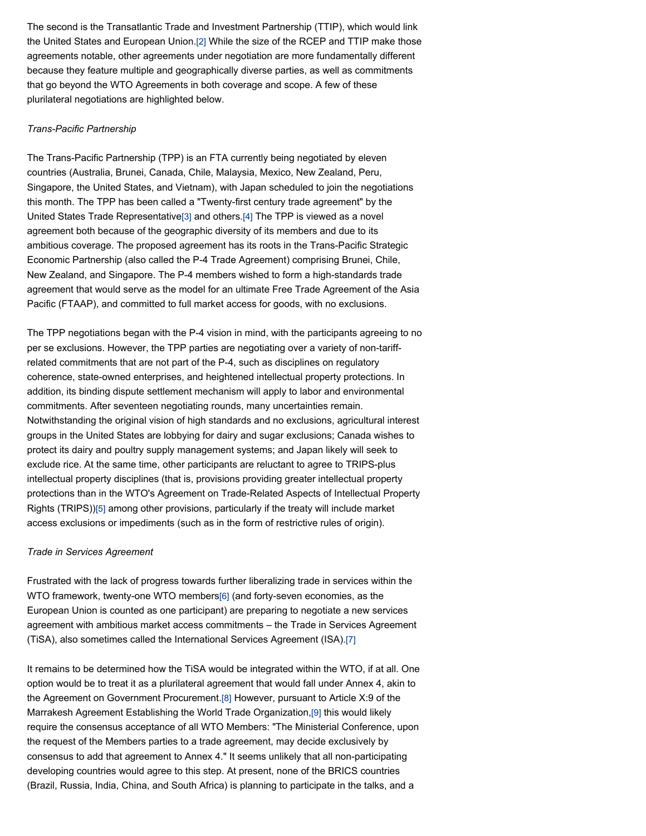The second is the Transatlantic Trade and Investment Partnership (TTIP), which would link the United States and European Union[.\[2\]](file:///Users/jamessteiner/ASIL/ASIL%202011/www/_Design%20Templates/insights/insight130712.html#_edn2) While the size of the RCEP and TTIP make those agreements notable, other agreements under negotiation are more fundamentally different because they feature multiple and geographically diverse parties, as well as commitments that go beyond the WTO Agreements in both coverage and scope. A few of these plurilateral negotiations are highlighted below.

#### *Trans-Pacific Partnership*

 The Trans-Pacific Partnership (TPP) is an FTA currently being negotiated by eleven countries (Australia, Brunei, Canada, Chile, Malaysia, Mexico, New Zealand, Peru, Singapore, the United States, and Vietnam), with Japan scheduled to join the negotiations this month. The TPP has been called a "Twenty-first century trade agreement" by the United States Trade Representativ[e\[3\]](file:///Users/jamessteiner/ASIL/ASIL%202011/www/_Design%20Templates/insights/insight130712.html#_edn3) and others[.\[4\]](file:///Users/jamessteiner/ASIL/ASIL%202011/www/_Design%20Templates/insights/insight130712.html#_edn4) The TPP is viewed as a novel agreement both because of the geographic diversity of its members and due to its ambitious coverage. The proposed agreement has its roots in the Trans-Pacific Strategic Economic Partnership (also called the P-4 Trade Agreement) comprising Brunei, Chile, New Zealand, and Singapore. The P-4 members wished to form a high-standards trade agreement that would serve as the model for an ultimate Free Trade Agreement of the Asia Pacific (FTAAP), and committed to full market access for goods, with no exclusions.

 The TPP negotiations began with the P-4 vision in mind, with the participants agreeing to no per se exclusions. However, the TPP parties are negotiating over a variety of non-tariff- related commitments that are not part of the P-4, such as disciplines on regulatory coherence, state-owned enterprises, and heightened intellectual property protections. In addition, its binding dispute settlement mechanism will apply to labor and environmental commitments. After seventeen negotiating rounds, many uncertainties remain. Notwithstanding the original vision of high standards and no exclusions, agricultural interest groups in the United States are lobbying for dairy and sugar exclusions; Canada wishes to protect its dairy and poultry supply management systems; and Japan likely will seek to exclude rice. At the same time, other participants are reluctant to agree to TRIPS-plus intellectual property disciplines (that is, provisions providing greater intellectual property protections than in the WTO's Agreement on Trade-Related Aspects of Intellectual Property Rights (TRIPS)[\)\[5\]](file:///Users/jamessteiner/ASIL/ASIL%202011/www/_Design%20Templates/insights/insight130712.html#_edn5) among other provisions, particularly if the treaty will include market access exclusions or impediments (such as in the form of restrictive rules of origin).

#### *Trade in Services Agreement*

 Frustrated with the lack of progress towards further liberalizing trade in services within the WTO framework, twenty-one WTO members[\[6\]](file:///Users/jamessteiner/ASIL/ASIL%202011/www/_Design%20Templates/insights/insight130712.html#_edn6) (and forty-seven economies, as the European Union is counted as one participant) are preparing to negotiate a new services agreement with ambitious market access commitments – the Trade in Services Agreement (TiSA), also sometimes called the International Services Agreement (ISA).[\[7\]](file:///Users/jamessteiner/ASIL/ASIL%202011/www/_Design%20Templates/insights/insight130712.html#_edn7)

 It remains to be determined how the TiSA would be integrated within the WTO, if at all. One option would be to treat it as a plurilateral agreement that would fall under Annex 4, akin to the Agreement on Government Procurement[.\[8\]](file:///Users/jamessteiner/ASIL/ASIL%202011/www/_Design%20Templates/insights/insight130712.html#_edn8) However, pursuant to Article X:9 of the Marrakesh Agreement Establishing the World Trade Organization[,\[9\]](file:///Users/jamessteiner/ASIL/ASIL%202011/www/_Design%20Templates/insights/insight130712.html#_edn9) this would likely require the consensus acceptance of all WTO Members: "The Ministerial Conference, upon the request of the Members parties to a trade agreement, may decide exclusively by consensus to add that agreement to Annex 4." It seems unlikely that all non-participating developing countries would agree to this step. At present, none of the BRICS countries (Brazil, Russia, India, China, and South Africa) is planning to participate in the talks, and a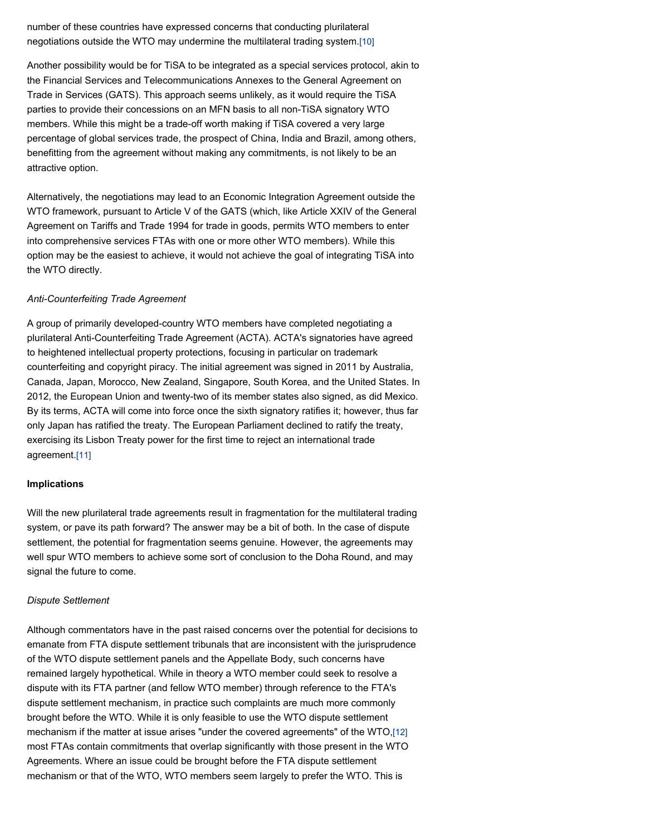number of these countries have expressed concerns that conducting plurilateral negotiations outside the WTO may undermine the multilateral trading system.[\[10\]](file:///Users/jamessteiner/ASIL/ASIL%202011/www/_Design%20Templates/insights/insight130712.html#_edn10) 

 Another possibility would be for TiSA to be integrated as a special services protocol, akin to the Financial Services and Telecommunications Annexes to the General Agreement on Trade in Services (GATS). This approach seems unlikely, as it would require the TiSA parties to provide their concessions on an MFN basis to all non-TiSA signatory WTO members. While this might be a trade-off worth making if TiSA covered a very large percentage of global services trade, the prospect of China, India and Brazil, among others, benefitting from the agreement without making any commitments, is not likely to be an attractive option.

 Alternatively, the negotiations may lead to an Economic Integration Agreement outside the WTO framework, pursuant to Article V of the GATS (which, like Article XXIV of the General Agreement on Tariffs and Trade 1994 for trade in goods, permits WTO members to enter into comprehensive services FTAs with one or more other WTO members). While this option may be the easiest to achieve, it would not achieve the goal of integrating TiSA into the WTO directly.

#### *Anti-Counterfeiting Trade Agreement*

 A group of primarily developed-country WTO members have completed negotiating a plurilateral Anti-Counterfeiting Trade Agreement (ACTA). ACTA's signatories have agreed to heightened intellectual property protections, focusing in particular on trademark counterfeiting and copyright piracy. The initial agreement was signed in 2011 by Australia, Canada, Japan, Morocco, New Zealand, Singapore, South Korea, and the United States. In 2012, the European Union and twenty-two of its member states also signed, as did Mexico. By its terms, ACTA will come into force once the sixth signatory ratifies it; however, thus far only Japan has ratified the treaty. The European Parliament declined to ratify the treaty, exercising its Lisbon Treaty power for the first time to reject an international trade agreement[.\[11\]](file:///Users/jamessteiner/ASIL/ASIL%202011/www/_Design%20Templates/insights/insight130712.html#_edn11) 

#### **Implications**

 Will the new plurilateral trade agreements result in fragmentation for the multilateral trading system, or pave its path forward? The answer may be a bit of both. In the case of dispute settlement, the potential for fragmentation seems genuine. However, the agreements may well spur WTO members to achieve some sort of conclusion to the Doha Round, and may signal the future to come.

#### *Dispute Settlement*

 Although commentators have in the past raised concerns over the potential for decisions to emanate from FTA dispute settlement tribunals that are inconsistent with the jurisprudence of the WTO dispute settlement panels and the Appellate Body, such concerns have remained largely hypothetical. While in theory a WTO member could seek to resolve a dispute with its FTA partner (and fellow WTO member) through reference to the FTA's dispute settlement mechanism, in practice such complaints are much more commonly brought before the WTO. While it is only feasible to use the WTO dispute settlement mechanism if the matter at issue arises "under the covered agreements" of the WTO[,\[12\]](file:///Users/jamessteiner/ASIL/ASIL%202011/www/_Design%20Templates/insights/insight130712.html#_edn12)  most FTAs contain commitments that overlap significantly with those present in the WTO Agreements. Where an issue could be brought before the FTA dispute settlement mechanism or that of the WTO, WTO members seem largely to prefer the WTO. This is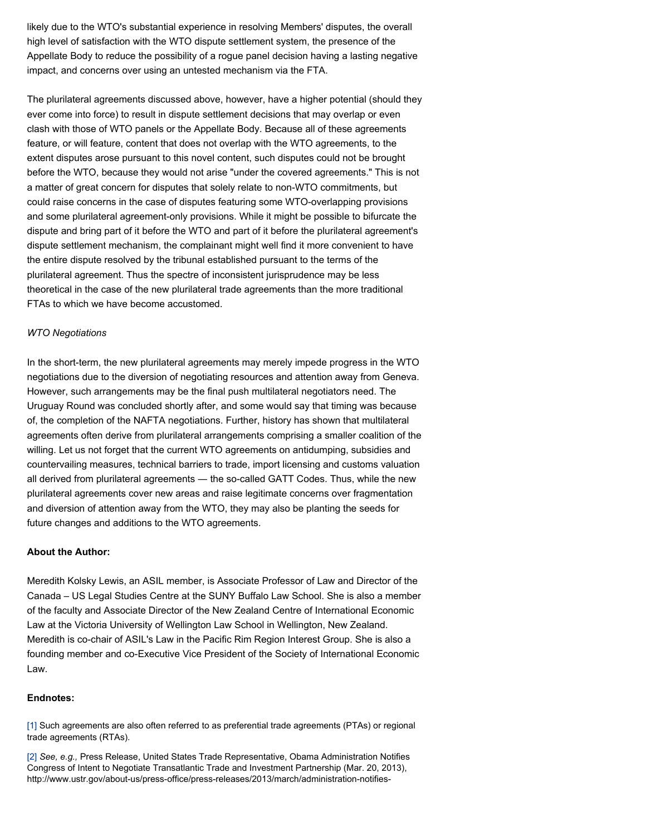likely due to the WTO's substantial experience in resolving Members' disputes, the overall high level of satisfaction with the WTO dispute settlement system, the presence of the Appellate Body to reduce the possibility of a rogue panel decision having a lasting negative impact, and concerns over using an untested mechanism via the FTA.

 The plurilateral agreements discussed above, however, have a higher potential (should they ever come into force) to result in dispute settlement decisions that may overlap or even clash with those of WTO panels or the Appellate Body. Because all of these agreements feature, or will feature, content that does not overlap with the WTO agreements, to the extent disputes arose pursuant to this novel content, such disputes could not be brought before the WTO, because they would not arise "under the covered agreements." This is not a matter of great concern for disputes that solely relate to non-WTO commitments, but could raise concerns in the case of disputes featuring some WTO-overlapping provisions and some plurilateral agreement-only provisions. While it might be possible to bifurcate the dispute and bring part of it before the WTO and part of it before the plurilateral agreement's dispute settlement mechanism, the complainant might well find it more convenient to have the entire dispute resolved by the tribunal established pursuant to the terms of the plurilateral agreement. Thus the spectre of inconsistent jurisprudence may be less theoretical in the case of the new plurilateral trade agreements than the more traditional FTAs to which we have become accustomed.

#### *WTO Negotiations*

 In the short-term, the new plurilateral agreements may merely impede progress in the WTO negotiations due to the diversion of negotiating resources and attention away from Geneva. However, such arrangements may be the final push multilateral negotiators need. The Uruguay Round was concluded shortly after, and some would say that timing was because of, the completion of the NAFTA negotiations. Further, history has shown that multilateral agreements often derive from plurilateral arrangements comprising a smaller coalition of the willing. Let us not forget that the current WTO agreements on antidumping, subsidies and countervailing measures, technical barriers to trade, import licensing and customs valuation all derived from plurilateral agreements ― the so-called GATT Codes. Thus, while the new plurilateral agreements cover new areas and raise legitimate concerns over fragmentation and diversion of attention away from the WTO, they may also be planting the seeds for future changes and additions to the WTO agreements.

#### **About the Author:**

 Meredith Kolsky Lewis, an ASIL member, is Associate Professor of Law and Director of the Canada – US Legal Studies Centre at the SUNY Buffalo Law School. She is also a member of the faculty and Associate Director of the New Zealand Centre of International Economic Law at the Victoria University of Wellington Law School in Wellington, New Zealand. Meredith is co-chair of ASIL's Law in the Pacific Rim Region Interest Group. She is also a founding member and co-Executive Vice President of the Society of International Economic Law.

#### **Endnotes:**

 [\[1\]](file:///Users/jamessteiner/ASIL/ASIL%202011/www/_Design%20Templates/insights/insight130712.html#_ednref1) Such agreements are also often referred to as preferential trade agreements (PTAs) or regional trade agreements (RTAs).

 [\[2\]](file:///Users/jamessteiner/ASIL/ASIL%202011/www/_Design%20Templates/insights/insight130712.html#_ednref2) *See, e.g.,* Press Release, United States Trade Representative, Obama Administration Notifies Congress of Intent to Negotiate Transatlantic Trade and Investment Partnership (Mar. 20, 2013), [http://www.ustr.gov/about-us/press-office/press-releases/2013/march/administration-notifies-](http://www.ustr.gov/about-us/press-office/press-releases/2013/march/administration-notifies)